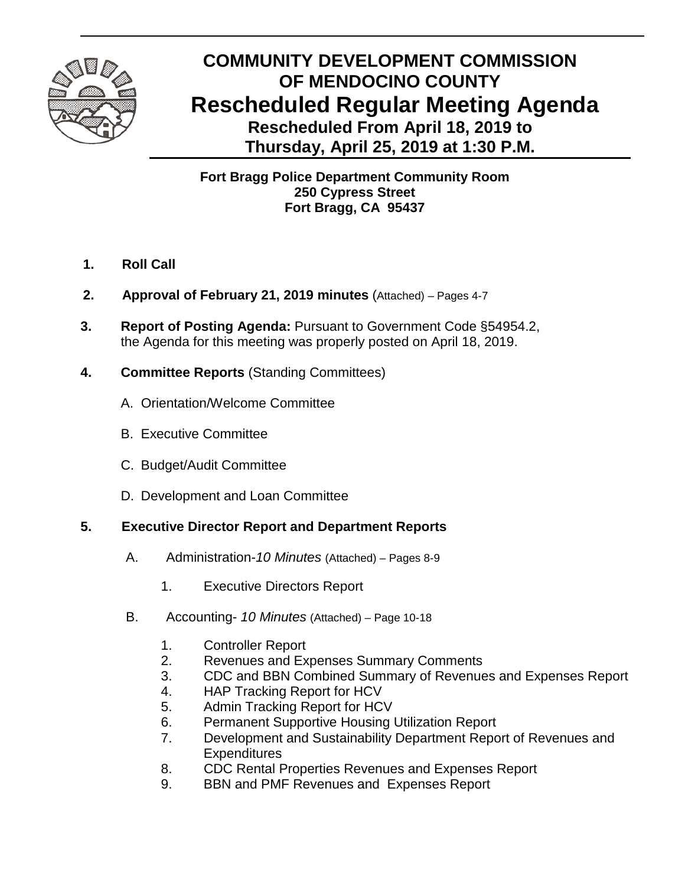

# **COMMUNITY DEVELOPMENT COMMISSION OF MENDOCINO COUNTY Rescheduled Regular Meeting Agenda Rescheduled From April 18, 2019 to Thursday, April 25, 2019 at 1:30 P.M.**

## **Fort Bragg Police Department Community Room 250 Cypress Street Fort Bragg, CA 95437**

- **1. Roll Call**
- **2. Approval of February 21, 2019 minutes** (Attached) Pages 4-7
- **3. Report of Posting Agenda:** Pursuant to Government Code §54954.2, the Agenda for this meeting was properly posted on April 18, 2019.
- **4. Committee Reports** (Standing Committees)
	- A.Orientation/Welcome Committee
	- B. Executive Committee
	- C. Budget/Audit Committee
	- D. Development and Loan Committee

### **5. Executive Director Report and Department Reports**

- A. Administration-*10 Minutes* (Attached) Pages 8-9
	- 1. Executive Directors Report
- B. Accounting- *10 Minutes* (Attached) Page 10-18
	- 1. Controller Report
	- 2. Revenues and Expenses Summary Comments
	- 3. CDC and BBN Combined Summary of Revenues and Expenses Report
	- 4. HAP Tracking Report for HCV
	- 5. Admin Tracking Report for HCV
	- 6. Permanent Supportive Housing Utilization Report
	- 7. Development and Sustainability Department Report of Revenues and **Expenditures**
	- 8. CDC Rental Properties Revenues and Expenses Report
	- 9. BBN and PMF Revenues and Expenses Report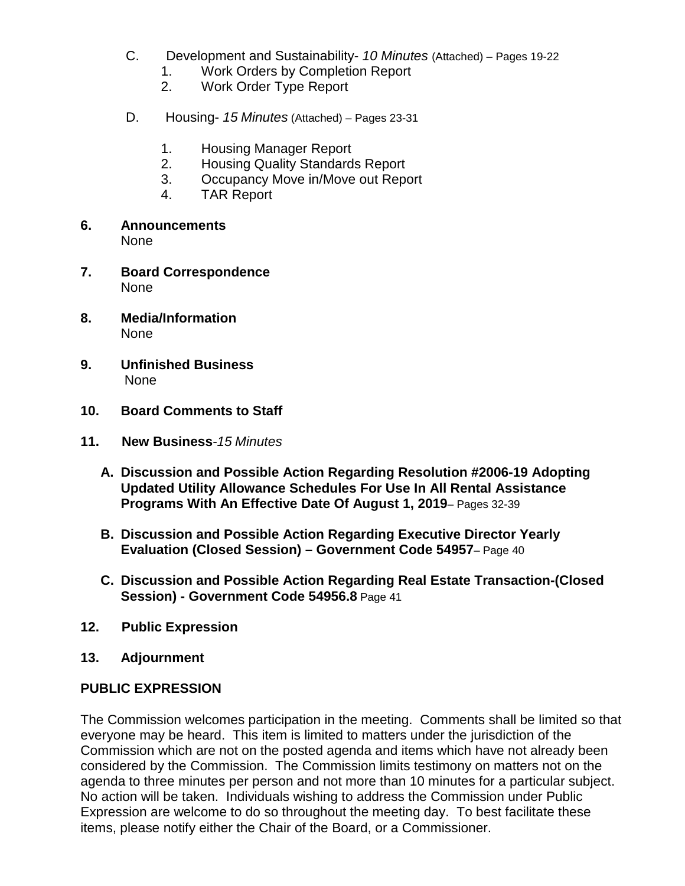- C. Development and Sustainability- *10 Minutes* (Attached) Pages 19-22 1. Work Orders by Completion Report
	- 2. Work Order Type Report
- D. Housing- *15 Minutes* (Attached) *–* Pages 23-31
	- 1. Housing Manager Report
	- 2. Housing Quality Standards Report
	- 3. Occupancy Move in/Move out Report
	- 4. TAR Report
- **6. Announcements** None
- **7. Board Correspondence** None
- **8. Media/Information** None
- **9. Unfinished Business** None
- **10. Board Comments to Staff**
- **11. New Business***-15 Minutes*
	- **A. Discussion and Possible Action Regarding Resolution #2006-19 Adopting Updated Utility Allowance Schedules For Use In All Rental Assistance Programs With An Effective Date Of August 1, 2019**– Pages 32-39
	- **B. Discussion and Possible Action Regarding Executive Director Yearly Evaluation (Closed Session) – Government Code 54957**– Page 40
	- **C. Discussion and Possible Action Regarding Real Estate Transaction-(Closed Session) - Government Code 54956.8** Page 41
- **12. Public Expression**
- **13. Adjournment**

#### **PUBLIC EXPRESSION**

The Commission welcomes participation in the meeting. Comments shall be limited so that everyone may be heard. This item is limited to matters under the jurisdiction of the Commission which are not on the posted agenda and items which have not already been considered by the Commission. The Commission limits testimony on matters not on the agenda to three minutes per person and not more than 10 minutes for a particular subject. No action will be taken. Individuals wishing to address the Commission under Public Expression are welcome to do so throughout the meeting day. To best facilitate these items, please notify either the Chair of the Board, or a Commissioner.